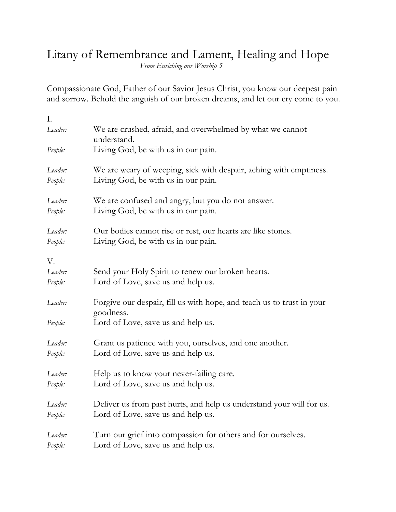## Litany of Remembrance and Lament, Healing and Hope

*From Enriching our Worship 5*

Compassionate God, Father of our Savior Jesus Christ, you know our deepest pain and sorrow. Behold the anguish of our broken dreams, and let our cry come to you.

| I.      |                                                                                    |
|---------|------------------------------------------------------------------------------------|
| Leader: | We are crushed, afraid, and overwhelmed by what we cannot<br>understand.           |
| People: | Living God, be with us in our pain.                                                |
| Leader: | We are weary of weeping, sick with despair, aching with emptiness.                 |
| People: | Living God, be with us in our pain.                                                |
| Leader: | We are confused and angry, but you do not answer.                                  |
| People: | Living God, be with us in our pain.                                                |
| Leader: | Our bodies cannot rise or rest, our hearts are like stones.                        |
| People: | Living God, be with us in our pain.                                                |
| V.      |                                                                                    |
| Leader: | Send your Holy Spirit to renew our broken hearts.                                  |
| People: | Lord of Love, save us and help us.                                                 |
| Leader: | Forgive our despair, fill us with hope, and teach us to trust in your<br>goodness. |
| People: | Lord of Love, save us and help us.                                                 |
| Leader: | Grant us patience with you, ourselves, and one another.                            |
| People: | Lord of Love, save us and help us.                                                 |
| Leader: | Help us to know your never-failing care.                                           |
| People: | Lord of Love, save us and help us.                                                 |
| Leader: | Deliver us from past hurts, and help us understand your will for us.               |
| People: | Lord of Love, save us and help us.                                                 |
| Leader: | Turn our grief into compassion for others and for ourselves.                       |
| People: | Lord of Love, save us and help us.                                                 |